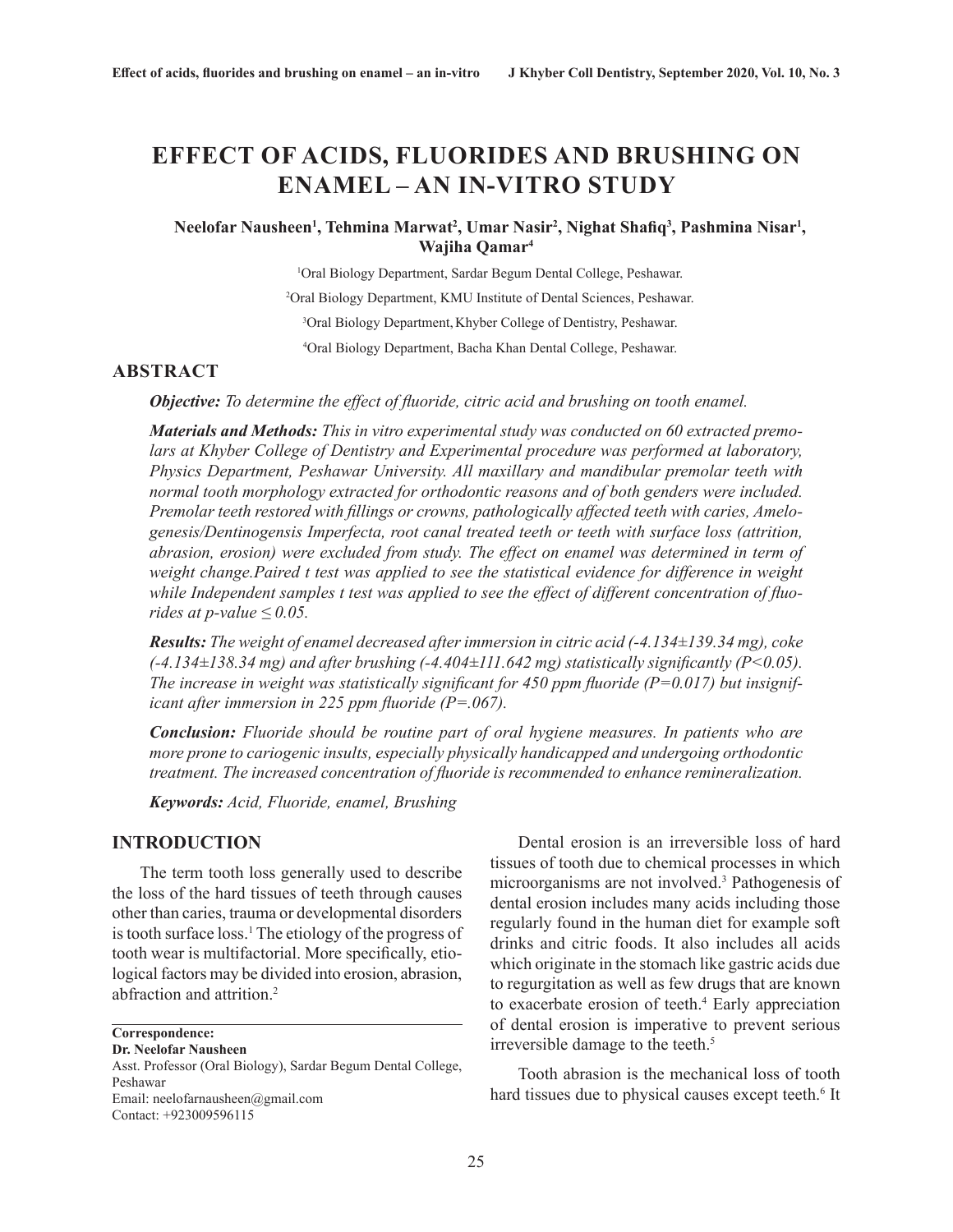# **EFFECT OF ACIDS, FLUORIDES AND BRUSHING ON ENAMEL – AN IN-VITRO STUDY**

#### Neelofar Nausheen<sup>1</sup>, Tehmina Marwat<sup>2</sup>, Umar Nasir<sup>2</sup>, Nighat Shafiq<sup>3</sup>, Pashmina Nisar<sup>1</sup>, **Wajiha Qamar4**

1 Oral Biology Department, Sardar Begum Dental College, Peshawar. 2 Oral Biology Department, KMU Institute of Dental Sciences, Peshawar.

3 Oral Biology Department, Khyber College of Dentistry, Peshawar.

4 Oral Biology Department, Bacha Khan Dental College, Peshawar.

### **ABSTRACT**

*Objective: To determine the effect of fluoride, citric acid and brushing on tooth enamel.*

*Materials and Methods: This in vitro experimental study was conducted on 60 extracted premolars at Khyber College of Dentistry and Experimental procedure was performed at laboratory, Physics Department, Peshawar University. All maxillary and mandibular premolar teeth with normal tooth morphology extracted for orthodontic reasons and of both genders were included. Premolar teeth restored with fillings or crowns, pathologically affected teeth with caries, Amelogenesis/Dentinogensis Imperfecta, root canal treated teeth or teeth with surface loss (attrition, abrasion, erosion) were excluded from study. The effect on enamel was determined in term of weight change.Paired t test was applied to see the statistical evidence for difference in weight while Independent samples t test was applied to see the effect of different concentration of fluorides at p-value ≤ 0.05.*

*Results: The weight of enamel decreased after immersion in citric acid (-4.134±139.34 mg), coke (-4.134±138.34 mg) and after brushing (-4.404±111.642 mg) statistically significantly (P<0.05). The increase in weight was statistically significant for 450 ppm fluoride (P=0.017) but insignificant after immersion in 225 ppm fluoride (P=.067).*

*Conclusion: Fluoride should be routine part of oral hygiene measures. In patients who are more prone to cariogenic insults, especially physically handicapped and undergoing orthodontic treatment. The increased concentration of fluoride is recommended to enhance remineralization.*

*Keywords: Acid, Fluoride, enamel, Brushing*

#### **INTRODUCTION**

The term tooth loss generally used to describe the loss of the hard tissues of teeth through causes other than caries, trauma or developmental disorders is tooth surface loss.<sup>1</sup> The etiology of the progress of tooth wear is multifactorial. More specifically, etiological factors may be divided into erosion, abrasion, abfraction and attrition.2

**Correspondence:**

**Dr. Neelofar Nausheen**

Asst. Professor (Oral Biology), Sardar Begum Dental College, Peshawar Email: neelofarnausheen@gmail.com Contact: +923009596115

Dental erosion is an irreversible loss of hard tissues of tooth due to chemical processes in which microorganisms are not involved.3 Pathogenesis of dental erosion includes many acids including those regularly found in the human diet for example soft drinks and citric foods. It also includes all acids which originate in the stomach like gastric acids due to regurgitation as well as few drugs that are known to exacerbate erosion of teeth.<sup>4</sup> Early appreciation of dental erosion is imperative to prevent serious irreversible damage to the teeth.<sup>5</sup>

Tooth abrasion is the mechanical loss of tooth hard tissues due to physical causes except teeth.<sup>6</sup> It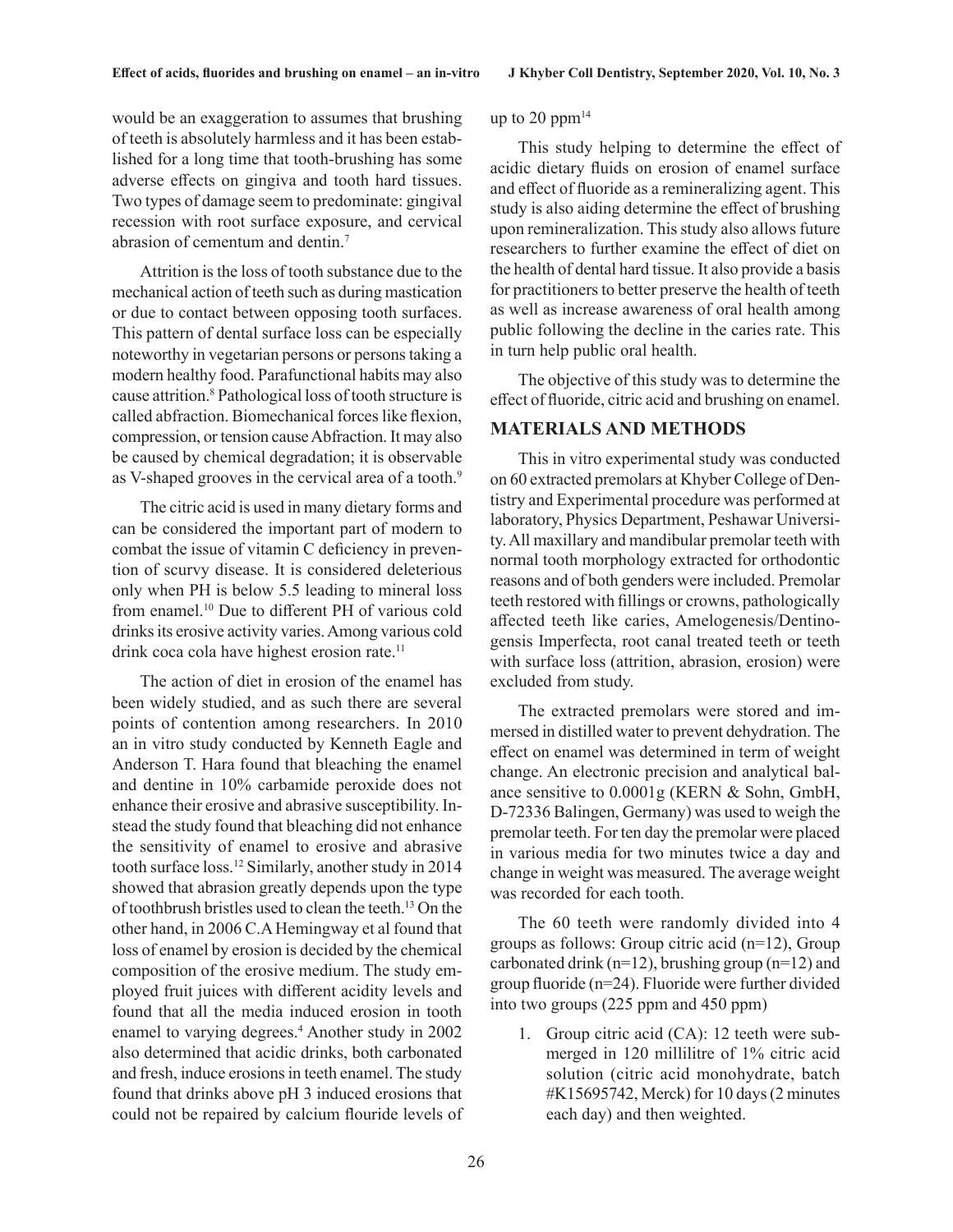would be an exaggeration to assumes that brushing of teeth is absolutely harmless and it has been established for a long time that tooth-brushing has some adverse effects on gingiva and tooth hard tissues. Two types of damage seem to predominate: gingival recession with root surface exposure, and cervical abrasion of cementum and dentin.7

Attrition is the loss of tooth substance due to the mechanical action of teeth such as during mastication or due to contact between opposing tooth surfaces. This pattern of dental surface loss can be especially noteworthy in vegetarian persons or persons taking a modern healthy food. Parafunctional habits may also cause attrition.8 Pathological loss of tooth structure is called abfraction. Biomechanical forces like flexion, compression, or tension cause Abfraction. It may also be caused by chemical degradation; it is observable as V-shaped grooves in the cervical area of a tooth.<sup>9</sup>

The citric acid is used in many dietary forms and can be considered the important part of modern to combat the issue of vitamin C deficiency in prevention of scurvy disease. It is considered deleterious only when PH is below 5.5 leading to mineral loss from enamel.10 Due to different PH of various cold drinks its erosive activity varies. Among various cold drink coca cola have highest erosion rate.<sup>11</sup>

The action of diet in erosion of the enamel has been widely studied, and as such there are several points of contention among researchers. In 2010 an in vitro study conducted by Kenneth Eagle and Anderson T. Hara found that bleaching the enamel and dentine in 10% carbamide peroxide does not enhance their erosive and abrasive susceptibility. Instead the study found that bleaching did not enhance the sensitivity of enamel to erosive and abrasive tooth surface loss.12 Similarly, another study in 2014 showed that abrasion greatly depends upon the type of toothbrush bristles used to clean the teeth.13 On the other hand, in 2006 C.A Hemingway et al found that loss of enamel by erosion is decided by the chemical composition of the erosive medium. The study employed fruit juices with different acidity levels and found that all the media induced erosion in tooth enamel to varying degrees.<sup>4</sup> Another study in 2002 also determined that acidic drinks, both carbonated and fresh, induce erosions in teeth enamel. The study found that drinks above pH 3 induced erosions that could not be repaired by calcium flouride levels of

up to 20  $ppm^{14}$ 

This study helping to determine the effect of acidic dietary fluids on erosion of enamel surface and effect of fluoride as a remineralizing agent. This study is also aiding determine the effect of brushing upon remineralization. This study also allows future researchers to further examine the effect of diet on the health of dental hard tissue. It also provide a basis for practitioners to better preserve the health of teeth as well as increase awareness of oral health among public following the decline in the caries rate. This in turn help public oral health.

The objective of this study was to determine the effect of fluoride, citric acid and brushing on enamel.

#### **MATERIALS AND METHODS**

This in vitro experimental study was conducted on 60 extracted premolars at Khyber College of Dentistry and Experimental procedure was performed at laboratory, Physics Department, Peshawar University. All maxillary and mandibular premolar teeth with normal tooth morphology extracted for orthodontic reasons and of both genders were included. Premolar teeth restored with fillings or crowns, pathologically affected teeth like caries, Amelogenesis/Dentinogensis Imperfecta, root canal treated teeth or teeth with surface loss (attrition, abrasion, erosion) were excluded from study.

The extracted premolars were stored and immersed in distilled water to prevent dehydration. The effect on enamel was determined in term of weight change. An electronic precision and analytical balance sensitive to 0.0001g (KERN & Sohn, GmbH, D-72336 Balingen, Germany) was used to weigh the premolar teeth. For ten day the premolar were placed in various media for two minutes twice a day and change in weight was measured. The average weight was recorded for each tooth.

The 60 teeth were randomly divided into 4 groups as follows: Group citric acid (n=12), Group carbonated drink (n=12), brushing group (n=12) and group fluoride (n=24). Fluoride were further divided into two groups (225 ppm and 450 ppm)

1. Group citric acid (CA): 12 teeth were submerged in 120 millilitre of 1% citric acid solution (citric acid monohydrate, batch #K15695742, Merck) for 10 days (2 minutes each day) and then weighted.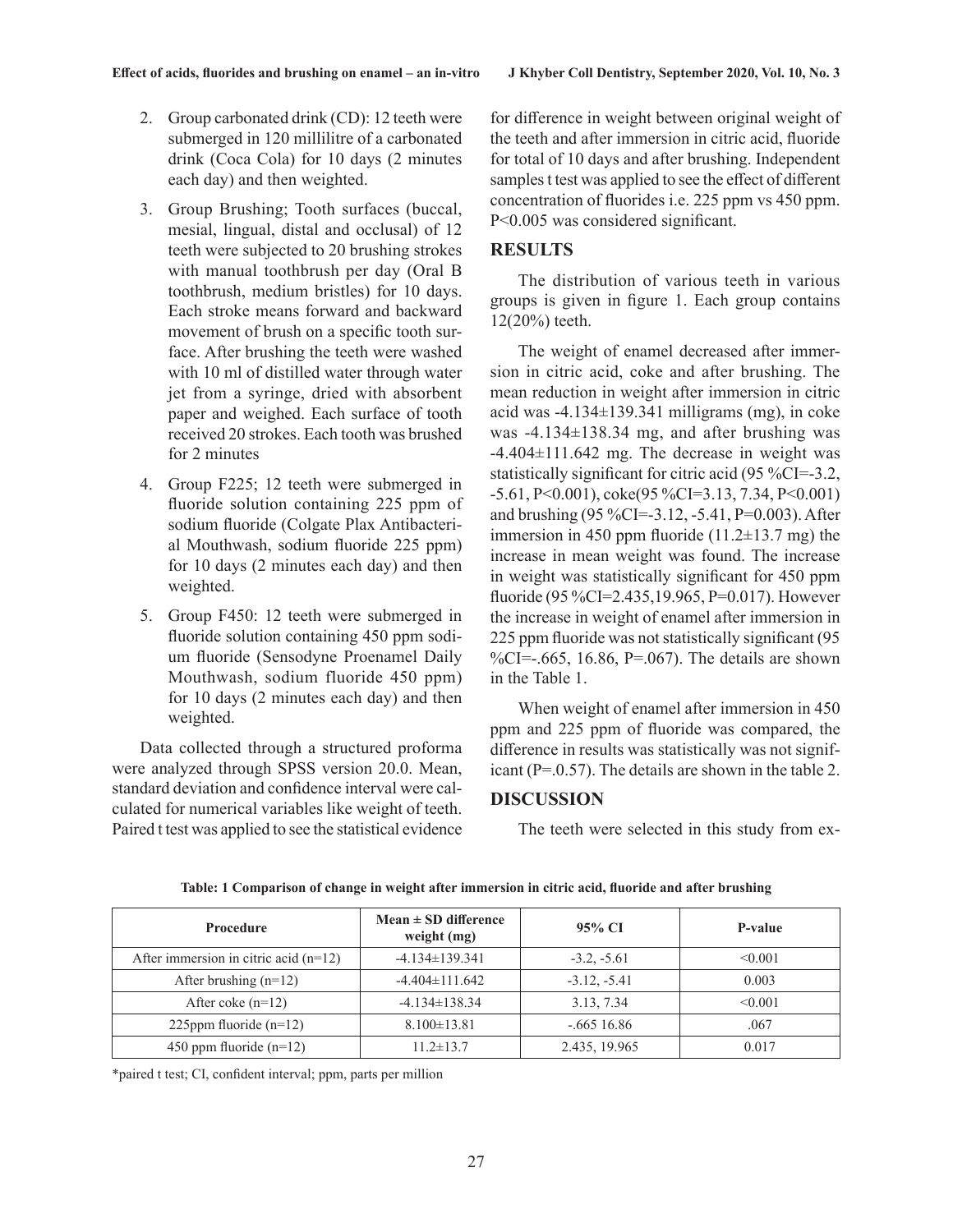- 2. Group carbonated drink (CD): 12 teeth were submerged in 120 millilitre of a carbonated drink (Coca Cola) for 10 days (2 minutes each day) and then weighted.
- 3. Group Brushing; Tooth surfaces (buccal, mesial, lingual, distal and occlusal) of 12 teeth were subjected to 20 brushing strokes with manual toothbrush per day (Oral B toothbrush, medium bristles) for 10 days. Each stroke means forward and backward movement of brush on a specific tooth surface. After brushing the teeth were washed with 10 ml of distilled water through water jet from a syringe, dried with absorbent paper and weighed. Each surface of tooth received 20 strokes. Each tooth was brushed for 2 minutes
- 4. Group F225; 12 teeth were submerged in fluoride solution containing 225 ppm of sodium fluoride (Colgate Plax Antibacterial Mouthwash, sodium fluoride 225 ppm) for 10 days (2 minutes each day) and then weighted.
- 5. Group F450: 12 teeth were submerged in fluoride solution containing 450 ppm sodium fluoride (Sensodyne Proenamel Daily Mouthwash, sodium fluoride 450 ppm) for 10 days (2 minutes each day) and then weighted.

Data collected through a structured proforma were analyzed through SPSS version 20.0. Mean, standard deviation and confidence interval were calculated for numerical variables like weight of teeth. Paired t test was applied to see the statistical evidence for difference in weight between original weight of the teeth and after immersion in citric acid, fluoride for total of 10 days and after brushing. Independent samples t test was applied to see the effect of different concentration of fluorides i.e. 225 ppm vs 450 ppm. P<0.005 was considered significant.

## **RESULTS**

The distribution of various teeth in various groups is given in figure 1. Each group contains 12(20%) teeth.

The weight of enamel decreased after immersion in citric acid, coke and after brushing. The mean reduction in weight after immersion in citric acid was -4.134±139.341 milligrams (mg), in coke was -4.134±138.34 mg, and after brushing was  $-4.404 \pm 111.642$  mg. The decrease in weight was statistically significant for citric acid (95 %CI=-3.2, -5.61, P<0.001), coke(95 %CI=3.13, 7.34, P<0.001) and brushing (95 %CI=-3.12, -5.41, P=0.003). After immersion in 450 ppm fluoride  $(11.2\pm 13.7 \text{ mg})$  the increase in mean weight was found. The increase in weight was statistically significant for 450 ppm fluoride (95 %CI=2.435,19.965, P=0.017). However the increase in weight of enamel after immersion in 225 ppm fluoride was not statistically significant (95 %CI= $-.665, 16.86, P = .067$ ). The details are shown in the Table 1.

When weight of enamel after immersion in 450 ppm and 225 ppm of fluoride was compared, the difference in results was statistically was not significant (P=.0.57). The details are shown in the table 2.

#### **DISCUSSION**

The teeth were selected in this study from ex-

| <b>Procedure</b>                        | $Mean \pm SD$ difference<br>weight $(mg)$ | 95% CI         | P-value      |
|-----------------------------------------|-------------------------------------------|----------------|--------------|
| After immersion in citric acid $(n=12)$ | $-4.134\pm 139.341$                       | $-3.2, -5.61$  | $\leq 0.001$ |
| After brushing $(n=12)$                 | $-4.404 \pm 111.642$                      | $-3.12, -5.41$ | 0.003        |
| After coke $(n=12)$                     | $-4.134 \pm 138.34$                       | 3.13, 7.34     | < 0.001      |
| 225ppm fluoride $(n=12)$                | $8.100 \pm 13.81$                         | $-.665$ 16.86  | .067         |
| 450 ppm fluoride $(n=12)$               | $11.2 \pm 13.7$                           | 2.435, 19.965  | 0.017        |

**Table: 1 Comparison of change in weight after immersion in citric acid, fluoride and after brushing**

\*paired t test; CI, confident interval; ppm, parts per million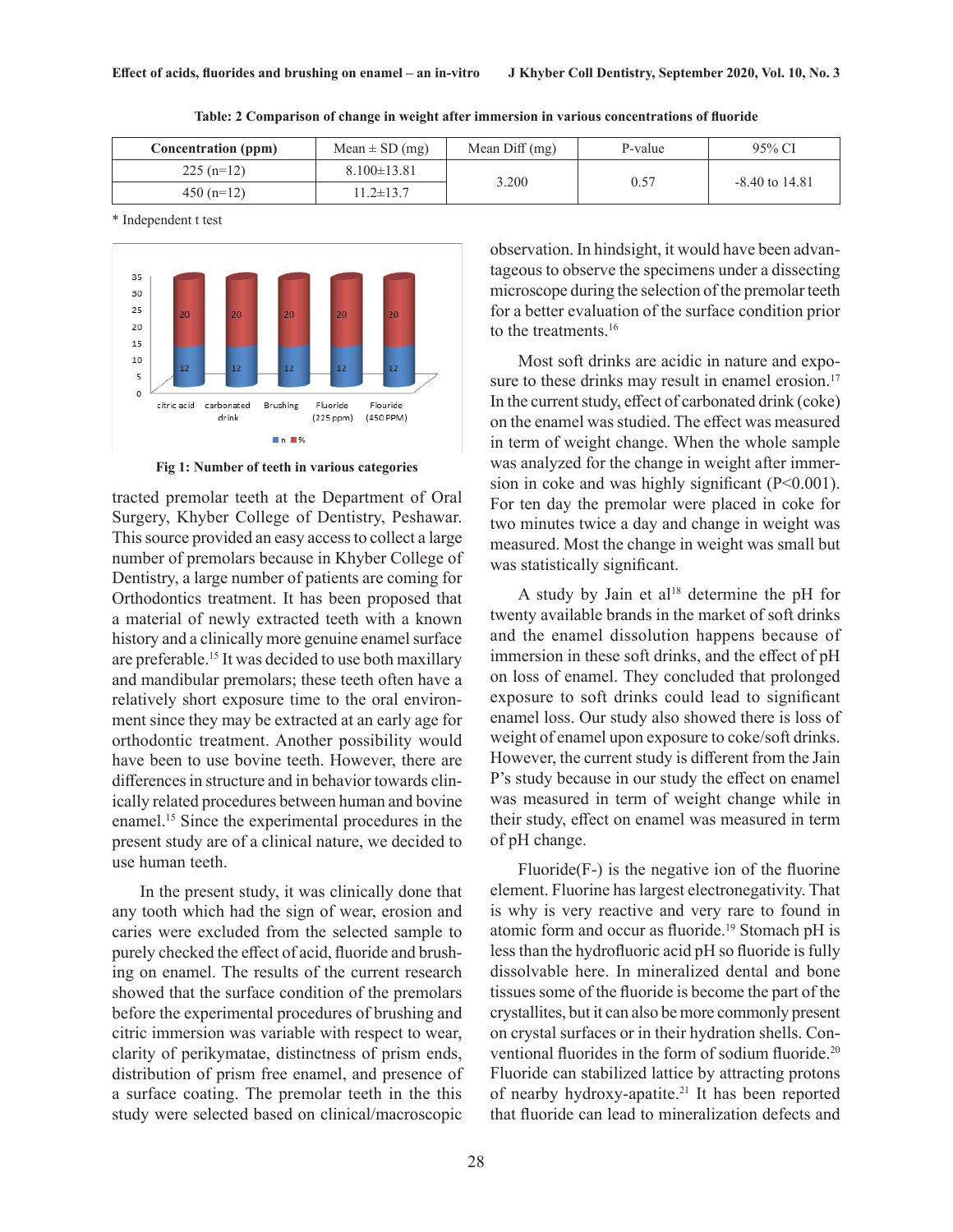| Concentration (ppm) | Mean $\pm$ SD (mg) | Mean $Diff(mg)$ | P-value | 95% CI           |
|---------------------|--------------------|-----------------|---------|------------------|
| $225(n=12)$         | $8.100 \pm 13.81$  | 3.200           | 0.57    | $-8.40$ to 14.81 |
| $450(n=12)$         | $1.2 \pm 13.7$     |                 |         |                  |

**Table: 2 Comparison of change in weight after immersion in various concentrations of fluoride**

\* Independent t test



**Fig 1: Number of teeth in various categories**

tracted premolar teeth at the Department of Oral Surgery, Khyber College of Dentistry, Peshawar. This source provided an easy access to collect a large number of premolars because in Khyber College of Dentistry, a large number of patients are coming for Orthodontics treatment. It has been proposed that a material of newly extracted teeth with a known history and a clinically more genuine enamel surface are preferable.15 It was decided to use both maxillary and mandibular premolars; these teeth often have a relatively short exposure time to the oral environment since they may be extracted at an early age for orthodontic treatment. Another possibility would have been to use bovine teeth. However, there are differences in structure and in behavior towards clinically related procedures between human and bovine enamel.15 Since the experimental procedures in the present study are of a clinical nature, we decided to use human teeth.

In the present study, it was clinically done that any tooth which had the sign of wear, erosion and caries were excluded from the selected sample to purely checked the effect of acid, fluoride and brushing on enamel. The results of the current research showed that the surface condition of the premolars before the experimental procedures of brushing and citric immersion was variable with respect to wear, clarity of perikymatae, distinctness of prism ends, distribution of prism free enamel, and presence of a surface coating. The premolar teeth in the this study were selected based on clinical/macroscopic

observation. In hindsight, it would have been advantageous to observe the specimens under a dissecting microscope during the selection of the premolar teeth for a better evaluation of the surface condition prior to the treatments.16

Most soft drinks are acidic in nature and exposure to these drinks may result in enamel erosion.<sup>17</sup> In the current study, effect of carbonated drink (coke) on the enamel was studied. The effect was measured in term of weight change. When the whole sample was analyzed for the change in weight after immersion in coke and was highly significant (P<0.001). For ten day the premolar were placed in coke for two minutes twice a day and change in weight was measured. Most the change in weight was small but was statistically significant.

A study by Jain et al<sup>18</sup> determine the pH for twenty available brands in the market of soft drinks and the enamel dissolution happens because of immersion in these soft drinks, and the effect of pH on loss of enamel. They concluded that prolonged exposure to soft drinks could lead to significant enamel loss. Our study also showed there is loss of weight of enamel upon exposure to coke/soft drinks. However, the current study is different from the Jain P's study because in our study the effect on enamel was measured in term of weight change while in their study, effect on enamel was measured in term of pH change.

Fluoride $(F<sub>-</sub>)$  is the negative ion of the fluorine element. Fluorine has largest electronegativity. That is why is very reactive and very rare to found in atomic form and occur as fluoride.19 Stomach pH is less than the hydrofluoric acid pH so fluoride is fully dissolvable here. In mineralized dental and bone tissues some of the fluoride is become the part of the crystallites, but it can also be more commonly present on crystal surfaces or in their hydration shells. Conventional fluorides in the form of sodium fluoride.<sup>20</sup> Fluoride can stabilized lattice by attracting protons of nearby hydroxy-apatite.<sup>21</sup> It has been reported that fluoride can lead to mineralization defects and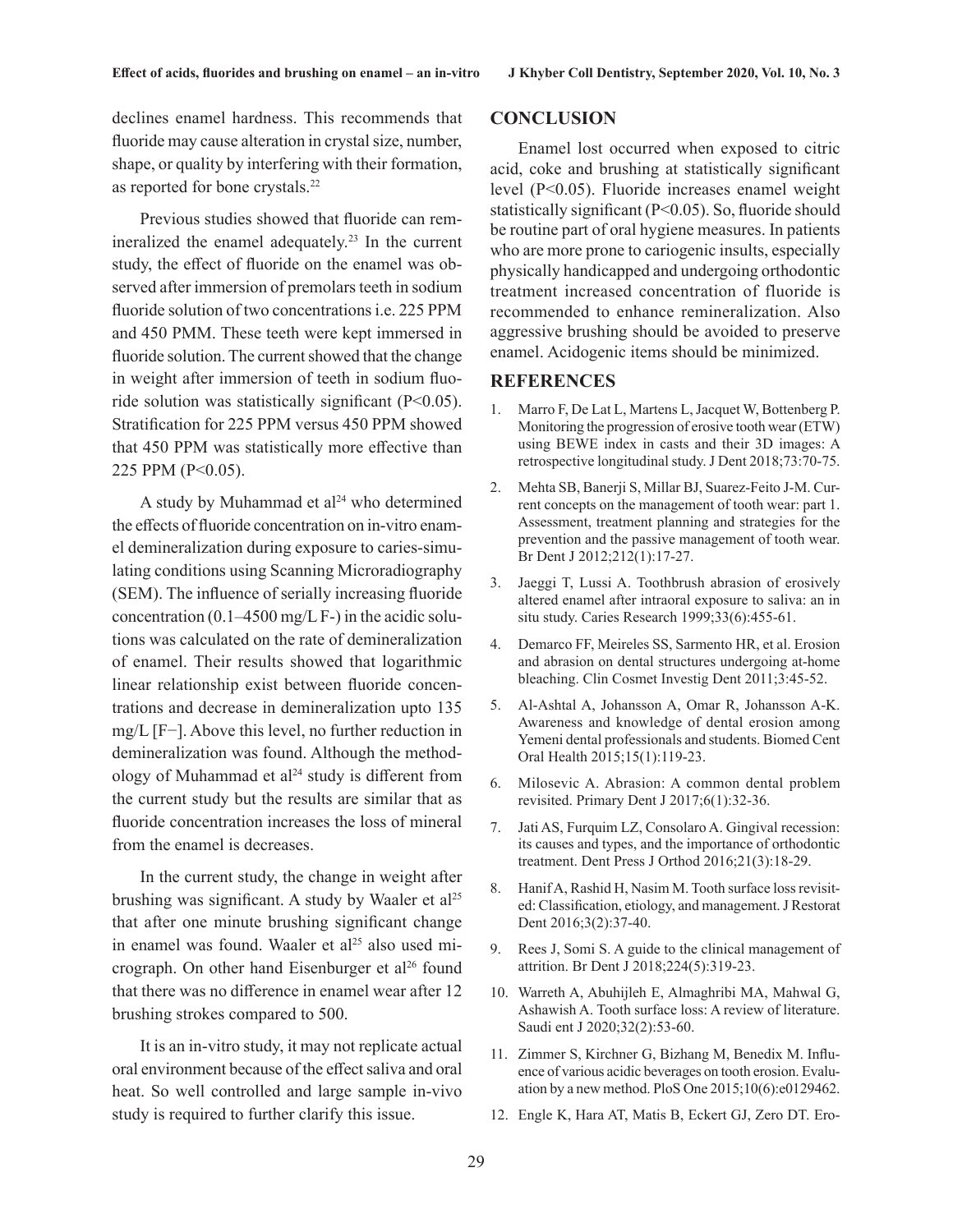declines enamel hardness. This recommends that fluoride may cause alteration in crystal size, number, shape, or quality by interfering with their formation, as reported for bone crystals.22

Previous studies showed that fluoride can remineralized the enamel adequately.<sup>23</sup> In the current study, the effect of fluoride on the enamel was observed after immersion of premolars teeth in sodium fluoride solution of two concentrations i.e. 225 PPM and 450 PMM. These teeth were kept immersed in fluoride solution. The current showed that the change in weight after immersion of teeth in sodium fluoride solution was statistically significant (P<0.05). Stratification for 225 PPM versus 450 PPM showed that 450 PPM was statistically more effective than 225 PPM (P<0.05).

A study by Muhammad et al $24$  who determined the effects of fluoride concentration on in-vitro enamel demineralization during exposure to caries-simulating conditions using Scanning Microradiography (SEM). The influence of serially increasing fluoride concentration  $(0.1-4500 \text{ mg/L F}$ -) in the acidic solutions was calculated on the rate of demineralization of enamel. Their results showed that logarithmic linear relationship exist between fluoride concentrations and decrease in demineralization upto 135 mg/L [F−]. Above this level, no further reduction in demineralization was found. Although the methodology of Muhammad et al<sup>24</sup> study is different from the current study but the results are similar that as fluoride concentration increases the loss of mineral from the enamel is decreases.

In the current study, the change in weight after brushing was significant. A study by Waaler et  $al<sup>25</sup>$ that after one minute brushing significant change in enamel was found. Waaler et al<sup>25</sup> also used micrograph. On other hand Eisenburger et al<sup>26</sup> found that there was no difference in enamel wear after 12 brushing strokes compared to 500.

It is an in-vitro study, it may not replicate actual oral environment because of the effect saliva and oral heat. So well controlled and large sample in-vivo study is required to further clarify this issue.

#### **CONCLUSION**

Enamel lost occurred when exposed to citric acid, coke and brushing at statistically significant level (P<0.05). Fluoride increases enamel weight statistically significant  $(P<0.05)$ . So, fluoride should be routine part of oral hygiene measures. In patients who are more prone to cariogenic insults, especially physically handicapped and undergoing orthodontic treatment increased concentration of fluoride is recommended to enhance remineralization. Also aggressive brushing should be avoided to preserve enamel. Acidogenic items should be minimized.

#### **REFERENCES**

- 1. Marro F, De Lat L, Martens L, Jacquet W, Bottenberg P. Monitoring the progression of erosive tooth wear (ETW) using BEWE index in casts and their 3D images: A retrospective longitudinal study. J Dent 2018;73:70-75.
- 2. Mehta SB, Banerji S, Millar BJ, Suarez-Feito J-M. Current concepts on the management of tooth wear: part 1. Assessment, treatment planning and strategies for the prevention and the passive management of tooth wear. Br Dent J 2012;212(1):17-27.
- 3. Jaeggi T, Lussi A. Toothbrush abrasion of erosively altered enamel after intraoral exposure to saliva: an in situ study. Caries Research 1999;33(6):455-61.
- 4. Demarco FF, Meireles SS, Sarmento HR, et al. Erosion and abrasion on dental structures undergoing at-home bleaching. Clin Cosmet Investig Dent 2011;3:45-52.
- 5. Al-Ashtal A, Johansson A, Omar R, Johansson A-K. Awareness and knowledge of dental erosion among Yemeni dental professionals and students. Biomed Cent Oral Health 2015;15(1):119-23.
- 6. Milosevic A. Abrasion: A common dental problem revisited. Primary Dent J 2017;6(1):32-36.
- 7. Jati AS, Furquim LZ, Consolaro A. Gingival recession: its causes and types, and the importance of orthodontic treatment. Dent Press J Orthod 2016;21(3):18-29.
- 8. Hanif A, Rashid H, Nasim M. Tooth surface loss revisited: Classification, etiology, and management. J Restorat Dent 2016;3(2):37-40.
- 9. Rees J, Somi S. A guide to the clinical management of attrition. Br Dent J 2018;224(5):319-23.
- 10. Warreth A, Abuhijleh E, Almaghribi MA, Mahwal G, Ashawish A. Tooth surface loss: A review of literature. Saudi ent J 2020;32(2):53-60.
- 11. Zimmer S, Kirchner G, Bizhang M, Benedix M. Influence of various acidic beverages on tooth erosion. Evaluation by a new method. PloS One 2015;10(6):e0129462.
- 12. Engle K, Hara AT, Matis B, Eckert GJ, Zero DT. Ero-